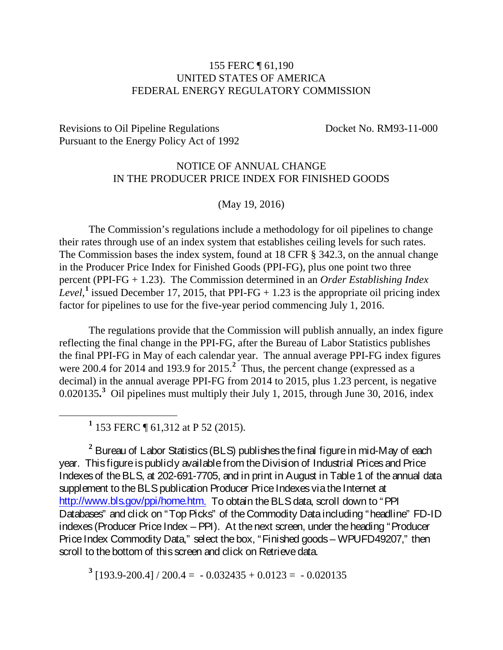## 155 FERC ¶ 61,190 UNITED STATES OF AMERICA FEDERAL ENERGY REGULATORY COMMISSION

Revisions to Oil Pipeline Regulations Docket No. RM93-11-000 Pursuant to the Energy Policy Act of 1992

## NOTICE OF ANNUAL CHANGE IN THE PRODUCER PRICE INDEX FOR FINISHED GOODS

(May 19, 2016)

The Commission's regulations include a methodology for oil pipelines to change their rates through use of an index system that establishes ceiling levels for such rates. The Commission bases the index system, found at 18 CFR § 342.3, on the annual change in the Producer Price Index for Finished Goods (PPI-FG), plus one point two three percent (PPI-FG + 1.23). The Commission determined in an *Order Establishing Index Level*,<sup>[1](#page-0-0)</sup> issued December 17, 2015, that PPI-FG  $+$  1.23 is the appropriate oil pricing index factor for pipelines to use for the five-year period commencing July 1, 2016.

The regulations provide that the Commission will publish annually, an index figure reflecting the final change in the PPI-FG, after the Bureau of Labor Statistics publishes the final PPI-FG in May of each calendar year. The annual average PPI-FG index figures were [2](#page-0-1)00.4 for 2014 and 193.9 for 2015.<sup>2</sup> Thus, the percent change (expressed as a decimal) in the annual average PPI-FG from 2014 to 2015, plus 1.23 percent, is negative 0.0201[3](#page-0-2)5.<sup>3</sup> Oil pipelines must multiply their July 1, 2015, through June 30, 2016, index

**<sup>1</sup>** 153 FERC ¶ 61,312 at P 52 (2015).

<span id="page-0-1"></span><span id="page-0-0"></span>**<sup>2</sup>** Bureau of Labor Statistics (BLS) publishes the final figure in mid-May of each year. This figure is publicly available from the Division of Industrial Prices and Price Indexes of the BLS, at 202-691-7705, and in print in August in Table 1 of the annual data supplement to the BLS publication Producer Price Indexes via the Internet at [http://www.bls.gov/ppi/home.htm.](http://www.bls.gov/ppi/home.htm) To obtain the BLS data, scroll down to "PPI" Databases" and click on "Top Picks" of the Commodity Dataincluding "headline" FD-ID indexes (Producer Price Index – PPI). At the next screen, under the heading "Producer Price Index Commodity Data," select the box, "Finished goods – WPUFD49207," then scroll to the bottom of this screen and click on Retrieve data.

<span id="page-0-2"></span> $3$  [193.9-200.4] / 200.4 = -0.032435 + 0.0123 = -0.020135